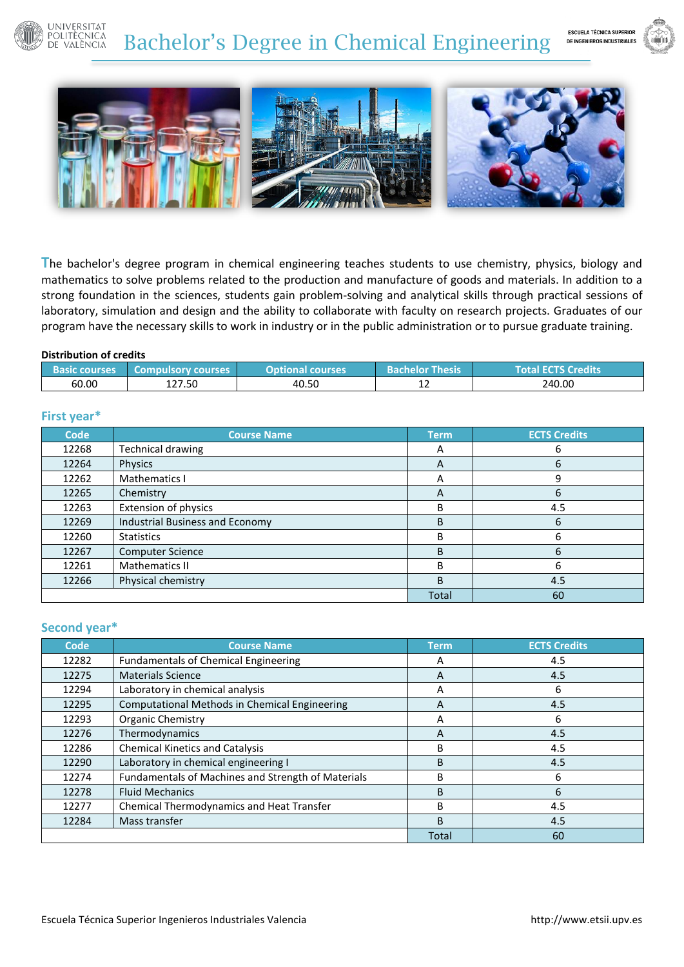#### **UNIVERSITAT POLITÈCNICA** Bachelor's Degree in Chemical Engineering DE VALÈNCIA





**T**he bachelor's degree program in chemical engineering teaches students to use chemistry, physics, biology and mathematics to solve problems related to the production and manufacture of goods and materials. In addition to a strong foundation in the sciences, students gain problem-solving and analytical skills through practical sessions of laboratory, simulation and design and the ability to collaborate with faculty on research projects. Graduates of our program have the necessary skills to work in industry or in the public administration or to pursue graduate training.

#### **Distribution of credits**

| <b>Basic courses</b> | Compulsory courses | <b>Optional courses</b> | helor Thesis'<br>Bachelor | <b>Total ECTS Credits</b> |
|----------------------|--------------------|-------------------------|---------------------------|---------------------------|
| 60.00                | 127.50             | 40.50                   | ᆠ                         | 240.00                    |

### **First year\***

| <b>Code</b> | <b>Course Name</b>              | <b>Term</b>  | <b>ECTS Credits</b> |
|-------------|---------------------------------|--------------|---------------------|
| 12268       | <b>Technical drawing</b>        | A            | 6                   |
| 12264       | Physics                         | А            | 6                   |
| 12262       | Mathematics I                   | A            | 9                   |
| 12265       | Chemistry                       | А            | 6                   |
| 12263       | Extension of physics            | B            | 4.5                 |
| 12269       | Industrial Business and Economy | <sub>B</sub> | 6                   |
| 12260       | <b>Statistics</b>               | B            | 6                   |
| 12267       | <b>Computer Science</b>         | <sub>B</sub> | 6                   |
| 12261       | Mathematics II                  | B            | 6                   |
| 12266       | Physical chemistry              | <sub>B</sub> | 4.5                 |
|             |                                 | <b>Total</b> | 60                  |

# **Second year\***

| <b>Code</b> | <b>Course Name</b>                                   | <b>Term</b>  | <b>ECTS Credits</b> |
|-------------|------------------------------------------------------|--------------|---------------------|
| 12282       | <b>Fundamentals of Chemical Engineering</b>          | А            | 4.5                 |
| 12275       | <b>Materials Science</b>                             | A            | 4.5                 |
| 12294       | Laboratory in chemical analysis                      | A            | 6                   |
| 12295       | <b>Computational Methods in Chemical Engineering</b> | A            | 4.5                 |
| 12293       | <b>Organic Chemistry</b>                             | А            | 6                   |
| 12276       | Thermodynamics                                       | А            | 4.5                 |
| 12286       | <b>Chemical Kinetics and Catalysis</b>               | B            | 4.5                 |
| 12290       | Laboratory in chemical engineering I                 | B            | 4.5                 |
| 12274       | Fundamentals of Machines and Strength of Materials   | В            | 6                   |
| 12278       | <b>Fluid Mechanics</b>                               | <sub>B</sub> | 6                   |
| 12277       | <b>Chemical Thermodynamics and Heat Transfer</b>     | B            | 4.5                 |
| 12284       | Mass transfer                                        | B            | 4.5                 |
|             |                                                      | <b>Total</b> | 60                  |